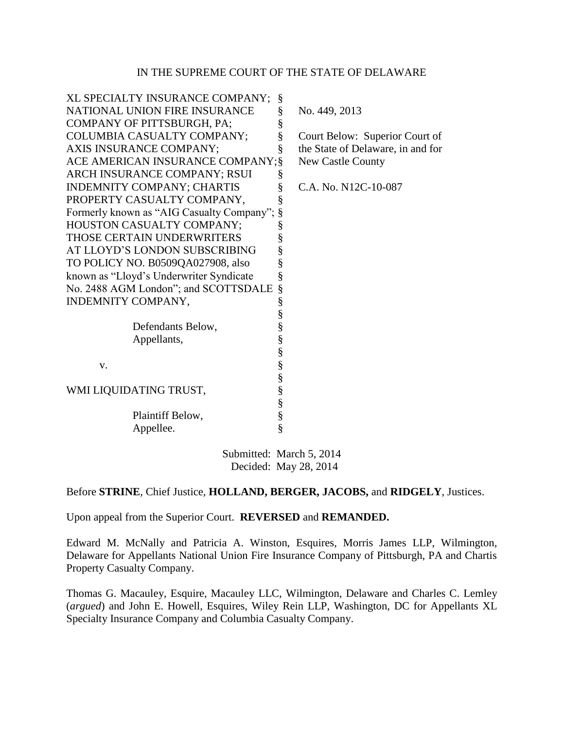#### IN THE SUPREME COURT OF THE STATE OF DELAWARE

| XL SPECIALTY INSURANCE COMPANY;           | §      |                                   |
|-------------------------------------------|--------|-----------------------------------|
| NATIONAL UNION FIRE INSURANCE             | §      | No. 449, 2013                     |
| COMPANY OF PITTSBURGH, PA;                | §      |                                   |
| COLUMBIA CASUALTY COMPANY;                | §      | Court Below: Superior Court of    |
| AXIS INSURANCE COMPANY;                   | §      | the State of Delaware, in and for |
| ACE AMERICAN INSURANCE COMPANY; §         |        | <b>New Castle County</b>          |
| ARCH INSURANCE COMPANY; RSUI              | §      |                                   |
| <b>INDEMNITY COMPANY; CHARTIS</b>         | §      | C.A. No. N12C-10-087              |
| PROPERTY CASUALTY COMPANY,                | §      |                                   |
| Formerly known as "AIG Casualty Company"; |        |                                   |
| HOUSTON CASUALTY COMPANY;                 | §      |                                   |
| THOSE CERTAIN UNDERWRITERS                | §      |                                   |
| AT LLOYD'S LONDON SUBSCRIBING             | §      |                                   |
| TO POLICY NO. B0509QA027908, also         | §      |                                   |
| known as "Lloyd's Underwriter Syndicate   | §      |                                   |
| No. 2488 AGM London"; and SCOTTSDALE      | §      |                                   |
| INDEMNITY COMPANY,                        | §      |                                   |
|                                           | §      |                                   |
| Defendants Below,                         | §      |                                   |
| Appellants,                               | §      |                                   |
|                                           | §<br>§ |                                   |
| V.                                        |        |                                   |
|                                           | $\S$   |                                   |
| WMI LIQUIDATING TRUST,                    | $\S$   |                                   |
|                                           | $\S$   |                                   |
| Plaintiff Below,                          | $\S$   |                                   |
| Appellee.                                 | §      |                                   |
|                                           |        |                                   |

Submitted: March 5, 2014 Decided: May 28, 2014

#### Before **STRINE**, Chief Justice, **HOLLAND, BERGER, JACOBS,** and **RIDGELY**, Justices.

Upon appeal from the Superior Court. **REVERSED** and **REMANDED.**

Edward M. McNally and Patricia A. Winston, Esquires, Morris James LLP, Wilmington, Delaware for Appellants National Union Fire Insurance Company of Pittsburgh, PA and Chartis Property Casualty Company.

Thomas G. Macauley, Esquire, Macauley LLC, Wilmington, Delaware and Charles C. Lemley (*argued*) and John E. Howell, Esquires, Wiley Rein LLP, Washington, DC for Appellants XL Specialty Insurance Company and Columbia Casualty Company.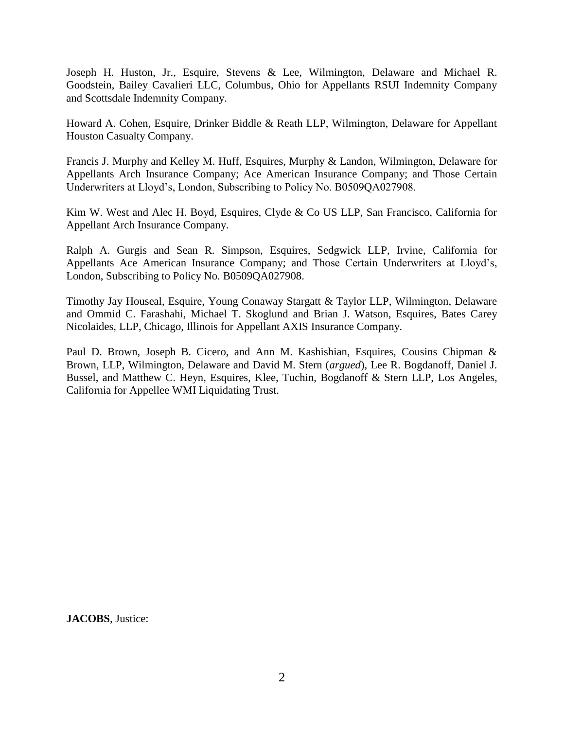Joseph H. Huston, Jr., Esquire, Stevens & Lee, Wilmington, Delaware and Michael R. Goodstein, Bailey Cavalieri LLC, Columbus, Ohio for Appellants RSUI Indemnity Company and Scottsdale Indemnity Company.

Howard A. Cohen, Esquire, Drinker Biddle & Reath LLP, Wilmington, Delaware for Appellant Houston Casualty Company.

Francis J. Murphy and Kelley M. Huff, Esquires, Murphy & Landon, Wilmington, Delaware for Appellants Arch Insurance Company; Ace American Insurance Company; and Those Certain Underwriters at Lloyd's, London, Subscribing to Policy No. B0509QA027908.

Kim W. West and Alec H. Boyd, Esquires, Clyde & Co US LLP, San Francisco, California for Appellant Arch Insurance Company.

Ralph A. Gurgis and Sean R. Simpson, Esquires, Sedgwick LLP, Irvine, California for Appellants Ace American Insurance Company; and Those Certain Underwriters at Lloyd's, London, Subscribing to Policy No. B0509QA027908.

Timothy Jay Houseal, Esquire, Young Conaway Stargatt & Taylor LLP, Wilmington, Delaware and Ommid C. Farashahi, Michael T. Skoglund and Brian J. Watson, Esquires, Bates Carey Nicolaides, LLP, Chicago, Illinois for Appellant AXIS Insurance Company.

Paul D. Brown, Joseph B. Cicero, and Ann M. Kashishian, Esquires, Cousins Chipman & Brown, LLP, Wilmington, Delaware and David M. Stern (*argued*), Lee R. Bogdanoff, Daniel J. Bussel, and Matthew C. Heyn, Esquires, Klee, Tuchin, Bogdanoff & Stern LLP, Los Angeles, California for Appellee WMI Liquidating Trust.

**JACOBS**, Justice: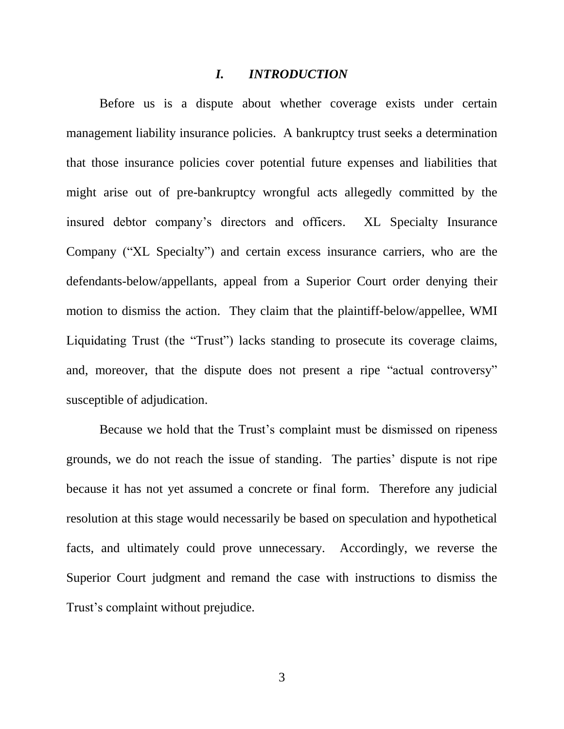#### *I. INTRODUCTION*

Before us is a dispute about whether coverage exists under certain management liability insurance policies. A bankruptcy trust seeks a determination that those insurance policies cover potential future expenses and liabilities that might arise out of pre-bankruptcy wrongful acts allegedly committed by the insured debtor company's directors and officers. XL Specialty Insurance Company ("XL Specialty") and certain excess insurance carriers, who are the defendants-below/appellants, appeal from a Superior Court order denying their motion to dismiss the action. They claim that the plaintiff-below/appellee, WMI Liquidating Trust (the "Trust") lacks standing to prosecute its coverage claims, and, moreover, that the dispute does not present a ripe "actual controversy" susceptible of adjudication.

Because we hold that the Trust's complaint must be dismissed on ripeness grounds, we do not reach the issue of standing. The parties' dispute is not ripe because it has not yet assumed a concrete or final form. Therefore any judicial resolution at this stage would necessarily be based on speculation and hypothetical facts, and ultimately could prove unnecessary. Accordingly, we reverse the Superior Court judgment and remand the case with instructions to dismiss the Trust's complaint without prejudice.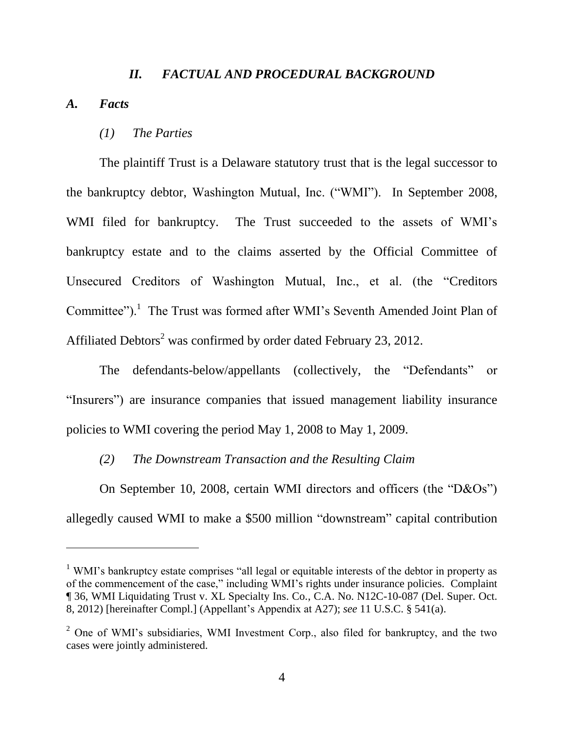#### *II. FACTUAL AND PROCEDURAL BACKGROUND*

*A. Facts*

 $\overline{a}$ 

#### *(1) The Parties*

The plaintiff Trust is a Delaware statutory trust that is the legal successor to the bankruptcy debtor, Washington Mutual, Inc. ("WMI"). In September 2008, WMI filed for bankruptcy. The Trust succeeded to the assets of WMI's bankruptcy estate and to the claims asserted by the Official Committee of Unsecured Creditors of Washington Mutual, Inc., et al. (the "Creditors Committee").<sup>1</sup> The Trust was formed after WMI's Seventh Amended Joint Plan of Affiliated Debtors<sup>2</sup> was confirmed by order dated February 23, 2012.

The defendants-below/appellants (collectively, the "Defendants" or "Insurers") are insurance companies that issued management liability insurance policies to WMI covering the period May 1, 2008 to May 1, 2009.

### *(2) The Downstream Transaction and the Resulting Claim*

On September 10, 2008, certain WMI directors and officers (the "D&Os") allegedly caused WMI to make a \$500 million "downstream" capital contribution

<sup>&</sup>lt;sup>1</sup> WMI's bankruptcy estate comprises "all legal or equitable interests of the debtor in property as of the commencement of the case," including WMI's rights under insurance policies. Complaint ¶ 36, WMI Liquidating Trust v. XL Specialty Ins. Co., C.A. No. N12C-10-087 (Del. Super. Oct. 8, 2012) [hereinafter Compl.] (Appellant's Appendix at A27); *see* 11 U.S.C. § 541(a).

<sup>2</sup> One of WMI's subsidiaries, WMI Investment Corp., also filed for bankruptcy, and the two cases were jointly administered.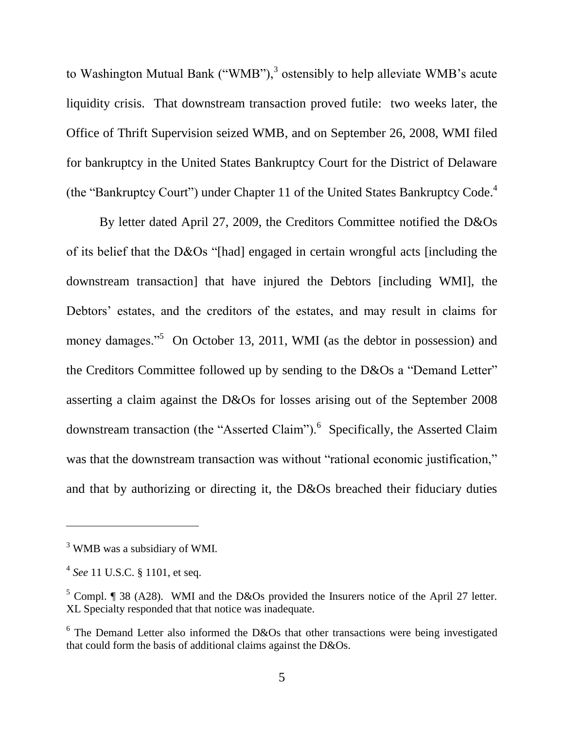to Washington Mutual Bank ("WMB"),<sup>3</sup> ostensibly to help alleviate WMB's acute liquidity crisis. That downstream transaction proved futile: two weeks later, the Office of Thrift Supervision seized WMB, and on September 26, 2008, WMI filed for bankruptcy in the United States Bankruptcy Court for the District of Delaware (the "Bankruptcy Court") under Chapter 11 of the United States Bankruptcy Code.<sup>4</sup>

By letter dated April 27, 2009, the Creditors Committee notified the D&Os of its belief that the D&Os "[had] engaged in certain wrongful acts [including the downstream transaction] that have injured the Debtors [including WMI], the Debtors' estates, and the creditors of the estates, and may result in claims for money damages."<sup>5</sup> On October 13, 2011, WMI (as the debtor in possession) and the Creditors Committee followed up by sending to the D&Os a "Demand Letter" asserting a claim against the D&Os for losses arising out of the September 2008 downstream transaction (the "Asserted Claim").<sup>6</sup> Specifically, the Asserted Claim was that the downstream transaction was without "rational economic justification," and that by authorizing or directing it, the D&Os breached their fiduciary duties

<sup>&</sup>lt;sup>3</sup> WMB was a subsidiary of WMI.

<sup>4</sup> *See* 11 U.S.C. § 1101, et seq.

 $5$  Compl. ¶ 38 (A28). WMI and the D&Os provided the Insurers notice of the April 27 letter. XL Specialty responded that that notice was inadequate.

 $6$  The Demand Letter also informed the D&Os that other transactions were being investigated that could form the basis of additional claims against the D&Os.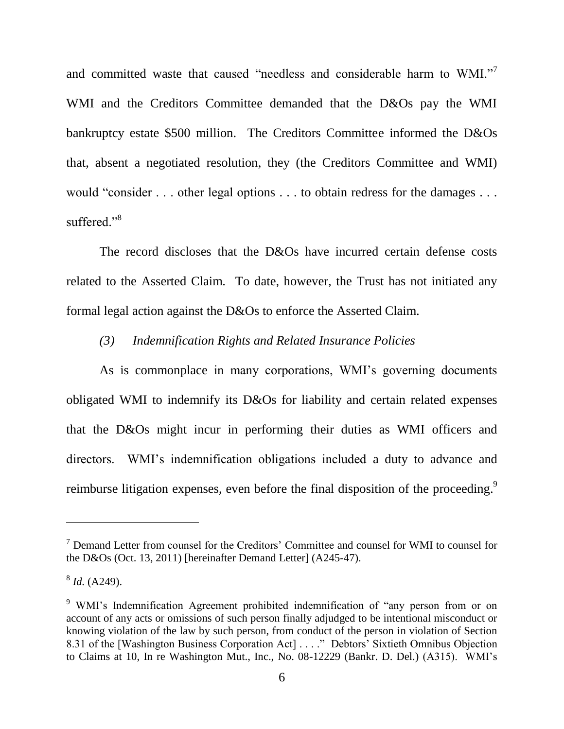and committed waste that caused "needless and considerable harm to WMI."<sup>7</sup> WMI and the Creditors Committee demanded that the D&Os pay the WMI bankruptcy estate \$500 million. The Creditors Committee informed the D&Os that, absent a negotiated resolution, they (the Creditors Committee and WMI) would "consider . . . other legal options . . . to obtain redress for the damages . . . suffered."<sup>8</sup>

The record discloses that the D&Os have incurred certain defense costs related to the Asserted Claim. To date, however, the Trust has not initiated any formal legal action against the D&Os to enforce the Asserted Claim.

### *(3) Indemnification Rights and Related Insurance Policies*

As is commonplace in many corporations, WMI's governing documents obligated WMI to indemnify its D&Os for liability and certain related expenses that the D&Os might incur in performing their duties as WMI officers and directors. WMI's indemnification obligations included a duty to advance and reimburse litigation expenses, even before the final disposition of the proceeding.<sup>9</sup>

<sup>7</sup> Demand Letter from counsel for the Creditors' Committee and counsel for WMI to counsel for the D&Os (Oct. 13, 2011) [hereinafter Demand Letter] (A245-47).

<sup>8</sup> *Id.* (A249).

<sup>9</sup> WMI's Indemnification Agreement prohibited indemnification of "any person from or on account of any acts or omissions of such person finally adjudged to be intentional misconduct or knowing violation of the law by such person, from conduct of the person in violation of Section 8.31 of the [Washington Business Corporation Act] . . . ." Debtors' Sixtieth Omnibus Objection to Claims at 10, In re Washington Mut., Inc., No. 08-12229 (Bankr. D. Del.) (A315). WMI's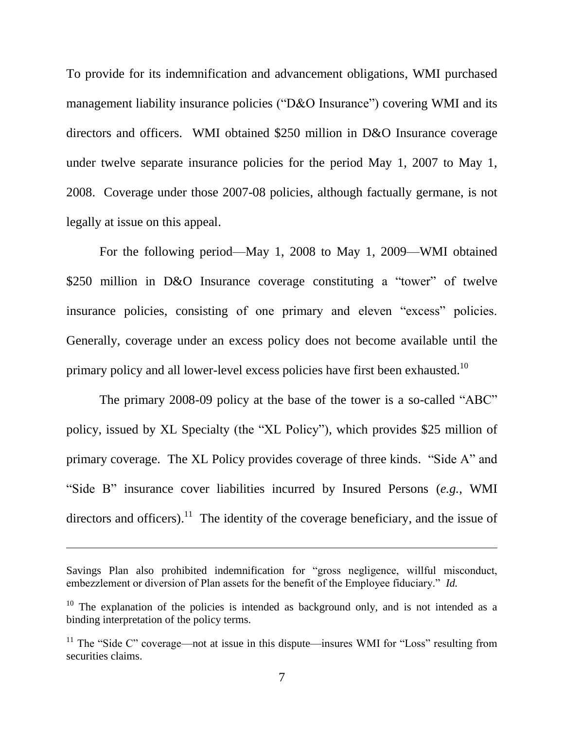To provide for its indemnification and advancement obligations, WMI purchased management liability insurance policies ("D&O Insurance") covering WMI and its directors and officers. WMI obtained \$250 million in D&O Insurance coverage under twelve separate insurance policies for the period May 1, 2007 to May 1, 2008. Coverage under those 2007-08 policies, although factually germane, is not legally at issue on this appeal.

For the following period—May 1, 2008 to May 1, 2009—WMI obtained \$250 million in D&O Insurance coverage constituting a "tower" of twelve insurance policies, consisting of one primary and eleven "excess" policies. Generally, coverage under an excess policy does not become available until the primary policy and all lower-level excess policies have first been exhausted.<sup>10</sup>

The primary 2008-09 policy at the base of the tower is a so-called "ABC" policy, issued by XL Specialty (the "XL Policy"), which provides \$25 million of primary coverage. The XL Policy provides coverage of three kinds. "Side A" and "Side B" insurance cover liabilities incurred by Insured Persons (*e.g.*, WMI directors and officers).<sup>11</sup> The identity of the coverage beneficiary, and the issue of

Savings Plan also prohibited indemnification for "gross negligence, willful misconduct, embezzlement or diversion of Plan assets for the benefit of the Employee fiduciary." *Id.* 

<sup>&</sup>lt;sup>10</sup> The explanation of the policies is intended as background only, and is not intended as a binding interpretation of the policy terms.

<sup>&</sup>lt;sup>11</sup> The "Side C" coverage—not at issue in this dispute—insures WMI for "Loss" resulting from securities claims.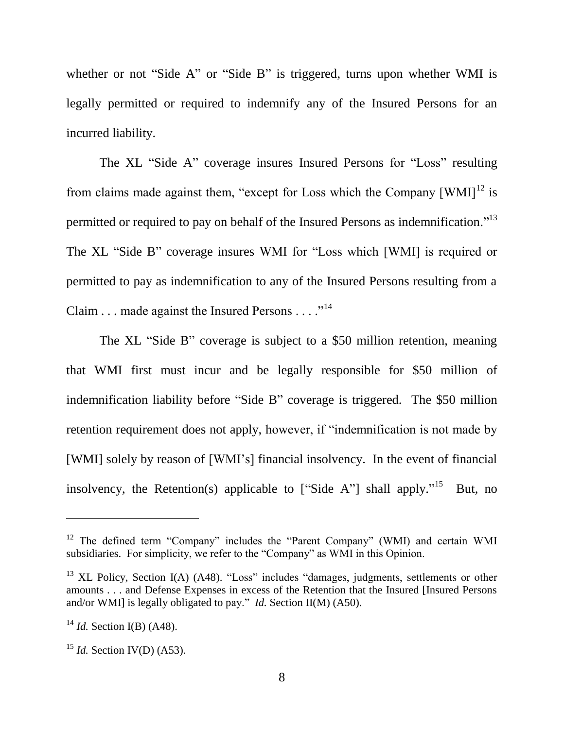whether or not "Side A" or "Side B" is triggered, turns upon whether WMI is legally permitted or required to indemnify any of the Insured Persons for an incurred liability.

The XL "Side A" coverage insures Insured Persons for "Loss" resulting from claims made against them, "except for Loss which the Company  $[WMI]^{12}$  is permitted or required to pay on behalf of the Insured Persons as indemnification."<sup>13</sup> The XL "Side B" coverage insures WMI for "Loss which [WMI] is required or permitted to pay as indemnification to any of the Insured Persons resulting from a Claim . . . made against the Insured Persons . . . .  $\cdot$ <sup>14</sup>

The XL "Side B" coverage is subject to a \$50 million retention, meaning that WMI first must incur and be legally responsible for \$50 million of indemnification liability before "Side B" coverage is triggered. The \$50 million retention requirement does not apply, however, if "indemnification is not made by [WMI] solely by reason of [WMI's] financial insolvency. In the event of financial insolvency, the Retention(s) applicable to ["Side A"] shall apply."<sup>15</sup> But, no

<sup>&</sup>lt;sup>12</sup> The defined term "Company" includes the "Parent Company" (WMI) and certain WMI subsidiaries. For simplicity, we refer to the "Company" as WMI in this Opinion.

 $13$  XL Policy, Section I(A) (A48). "Loss" includes "damages, judgments, settlements or other amounts . . . and Defense Expenses in excess of the Retention that the Insured [Insured Persons and/or WMI] is legally obligated to pay." *Id.* Section II(M) (A50).

<sup>14</sup> *Id.* Section I(B) (A48).

<sup>&</sup>lt;sup>15</sup> *Id.* Section IV(D) (A53).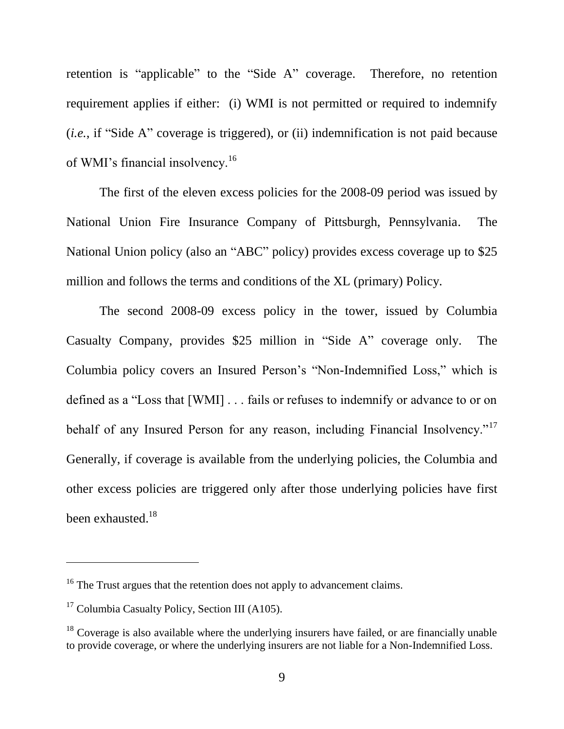retention is "applicable" to the "Side A" coverage. Therefore, no retention requirement applies if either: (i) WMI is not permitted or required to indemnify (*i.e.*, if "Side A" coverage is triggered), or (ii) indemnification is not paid because of WMI's financial insolvency.<sup>16</sup>

The first of the eleven excess policies for the 2008-09 period was issued by National Union Fire Insurance Company of Pittsburgh, Pennsylvania. The National Union policy (also an "ABC" policy) provides excess coverage up to \$25 million and follows the terms and conditions of the XL (primary) Policy.

The second 2008-09 excess policy in the tower, issued by Columbia Casualty Company, provides \$25 million in "Side A" coverage only. The Columbia policy covers an Insured Person's "Non-Indemnified Loss," which is defined as a "Loss that [WMI] . . . fails or refuses to indemnify or advance to or on behalf of any Insured Person for any reason, including Financial Insolvency."<sup>17</sup> Generally, if coverage is available from the underlying policies, the Columbia and other excess policies are triggered only after those underlying policies have first been exhausted.<sup>18</sup>

<sup>&</sup>lt;sup>16</sup> The Trust argues that the retention does not apply to advancement claims.

<sup>&</sup>lt;sup>17</sup> Columbia Casualty Policy, Section III (A105).

 $18$  Coverage is also available where the underlying insurers have failed, or are financially unable to provide coverage, or where the underlying insurers are not liable for a Non-Indemnified Loss.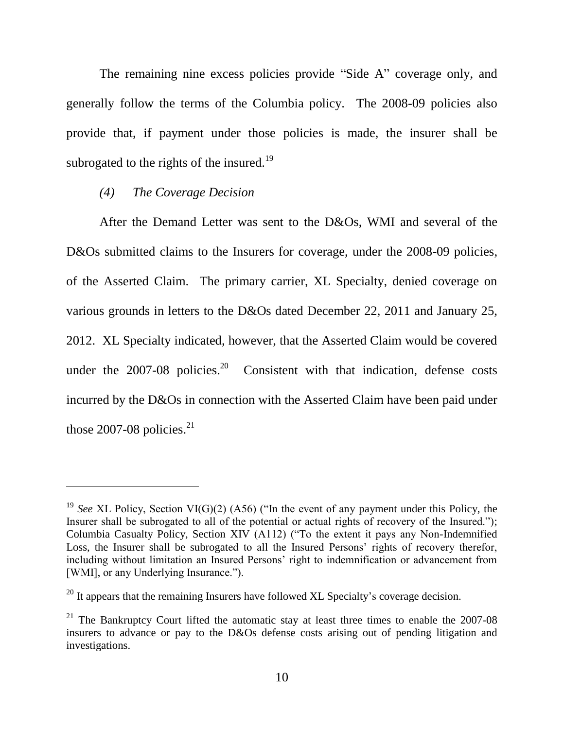The remaining nine excess policies provide "Side A" coverage only, and generally follow the terms of the Columbia policy. The 2008-09 policies also provide that, if payment under those policies is made, the insurer shall be subrogated to the rights of the insured.<sup>19</sup>

## *(4) The Coverage Decision*

 $\overline{a}$ 

After the Demand Letter was sent to the D&Os, WMI and several of the D&Os submitted claims to the Insurers for coverage, under the 2008-09 policies, of the Asserted Claim. The primary carrier, XL Specialty, denied coverage on various grounds in letters to the D&Os dated December 22, 2011 and January 25, 2012. XL Specialty indicated, however, that the Asserted Claim would be covered under the  $2007-08$  policies.<sup>20</sup> Consistent with that indication, defense costs incurred by the D&Os in connection with the Asserted Claim have been paid under those 2007-08 policies. $21$ 

<sup>19</sup> *See* XL Policy, Section VI(G)(2) (A56) ("In the event of any payment under this Policy, the Insurer shall be subrogated to all of the potential or actual rights of recovery of the Insured."); Columbia Casualty Policy, Section XIV (A112) ("To the extent it pays any Non-Indemnified Loss, the Insurer shall be subrogated to all the Insured Persons' rights of recovery therefor, including without limitation an Insured Persons' right to indemnification or advancement from [WMI], or any Underlying Insurance.").

 $20$  It appears that the remaining Insurers have followed XL Specialty's coverage decision.

<sup>&</sup>lt;sup>21</sup> The Bankruptcy Court lifted the automatic stay at least three times to enable the  $2007-08$ insurers to advance or pay to the D&Os defense costs arising out of pending litigation and investigations.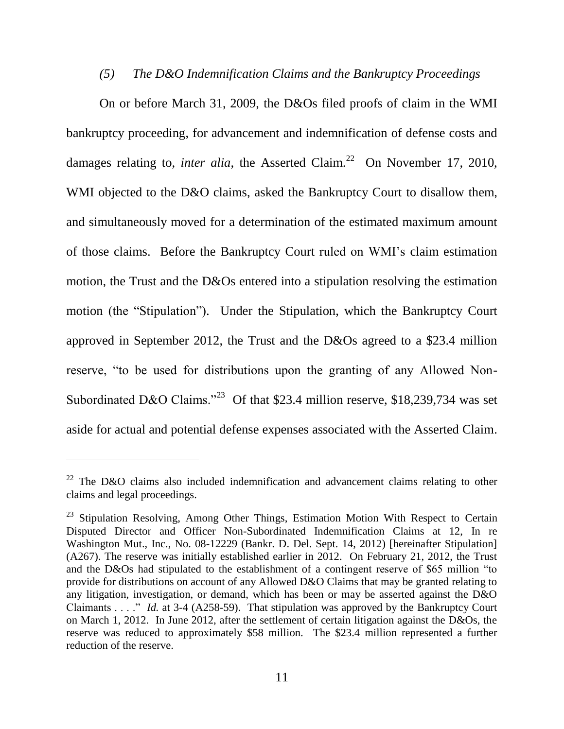## *(5) The D&O Indemnification Claims and the Bankruptcy Proceedings*

On or before March 31, 2009, the D&Os filed proofs of claim in the WMI bankruptcy proceeding, for advancement and indemnification of defense costs and damages relating to, *inter alia*, the Asserted Claim.<sup>22</sup> On November 17, 2010, WMI objected to the D&O claims, asked the Bankruptcy Court to disallow them, and simultaneously moved for a determination of the estimated maximum amount of those claims. Before the Bankruptcy Court ruled on WMI's claim estimation motion, the Trust and the D&Os entered into a stipulation resolving the estimation motion (the "Stipulation"). Under the Stipulation, which the Bankruptcy Court approved in September 2012, the Trust and the D&Os agreed to a \$23.4 million reserve, "to be used for distributions upon the granting of any Allowed Non-Subordinated D&O Claims."<sup>23</sup> Of that \$23.4 million reserve, \$18,239,734 was set aside for actual and potential defense expenses associated with the Asserted Claim.

 $22$  The D&O claims also included indemnification and advancement claims relating to other claims and legal proceedings.

<sup>&</sup>lt;sup>23</sup> Stipulation Resolving, Among Other Things, Estimation Motion With Respect to Certain Disputed Director and Officer Non-Subordinated Indemnification Claims at 12, In re Washington Mut., Inc., No. 08-12229 (Bankr. D. Del. Sept. 14, 2012) [hereinafter Stipulation] (A267). The reserve was initially established earlier in 2012. On February 21, 2012, the Trust and the D&Os had stipulated to the establishment of a contingent reserve of \$65 million "to provide for distributions on account of any Allowed D&O Claims that may be granted relating to any litigation, investigation, or demand, which has been or may be asserted against the D&O Claimants . . . ." *Id.* at 3-4 (A258-59). That stipulation was approved by the Bankruptcy Court on March 1, 2012. In June 2012, after the settlement of certain litigation against the D&Os, the reserve was reduced to approximately \$58 million. The \$23.4 million represented a further reduction of the reserve.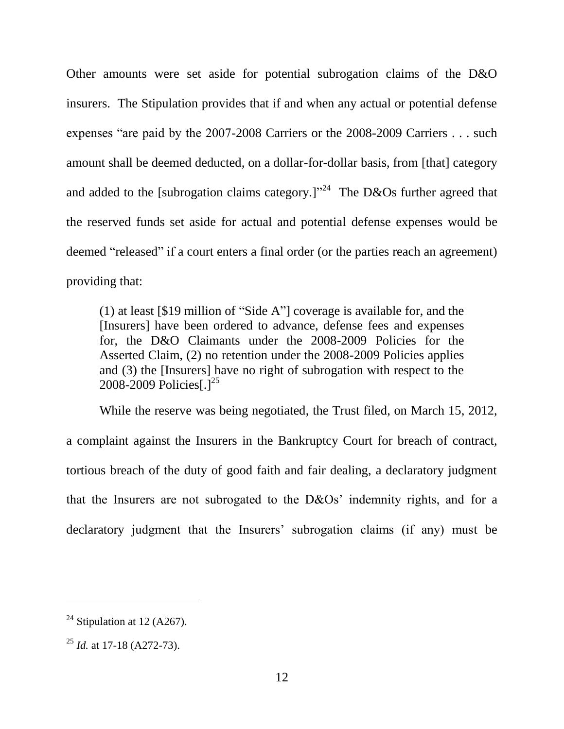Other amounts were set aside for potential subrogation claims of the D&O insurers. The Stipulation provides that if and when any actual or potential defense expenses "are paid by the 2007-2008 Carriers or the 2008-2009 Carriers . . . such amount shall be deemed deducted, on a dollar-for-dollar basis, from [that] category and added to the [subrogation claims category.]"<sup>24</sup> The D&Os further agreed that the reserved funds set aside for actual and potential defense expenses would be deemed "released" if a court enters a final order (or the parties reach an agreement) providing that:

(1) at least [\$19 million of "Side A"] coverage is available for, and the [Insurers] have been ordered to advance, defense fees and expenses for, the D&O Claimants under the 2008-2009 Policies for the Asserted Claim, (2) no retention under the 2008-2009 Policies applies and (3) the [Insurers] have no right of subrogation with respect to the 2008-2009 Policies $1^{25}$ 

While the reserve was being negotiated, the Trust filed, on March 15, 2012, a complaint against the Insurers in the Bankruptcy Court for breach of contract, tortious breach of the duty of good faith and fair dealing, a declaratory judgment that the Insurers are not subrogated to the D&Os' indemnity rights, and for a declaratory judgment that the Insurers' subrogation claims (if any) must be

<sup>&</sup>lt;sup>24</sup> Stipulation at 12 (A267).

<sup>25</sup> *Id.* at 17-18 (A272-73).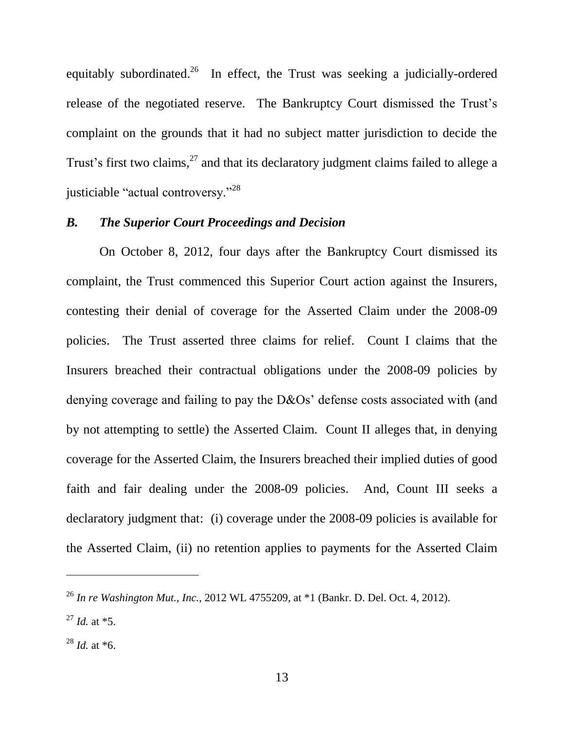equitably subordinated.<sup>26</sup> In effect, the Trust was seeking a judicially-ordered release of the negotiated reserve. The Bankruptcy Court dismissed the Trust's complaint on the grounds that it had no subject matter jurisdiction to decide the Trust's first two claims,<sup>27</sup> and that its declaratory judgment claims failed to allege a justiciable "actual controversy."<sup>28</sup>

## *B. The Superior Court Proceedings and Decision*

On October 8, 2012, four days after the Bankruptcy Court dismissed its complaint, the Trust commenced this Superior Court action against the Insurers, contesting their denial of coverage for the Asserted Claim under the 2008-09 policies. The Trust asserted three claims for relief. Count I claims that the Insurers breached their contractual obligations under the 2008-09 policies by denying coverage and failing to pay the D&Os' defense costs associated with (and by not attempting to settle) the Asserted Claim. Count II alleges that, in denying coverage for the Asserted Claim, the Insurers breached their implied duties of good faith and fair dealing under the 2008-09 policies. And, Count III seeks a declaratory judgment that: (i) coverage under the 2008-09 policies is available for the Asserted Claim, (ii) no retention applies to payments for the Asserted Claim

<sup>26</sup> *In re Washington Mut., Inc.*, 2012 WL 4755209, at \*1 (Bankr. D. Del. Oct. 4, 2012).

 $^{27}$  *Id.* at  $*5$ .

<sup>28</sup> *Id.* at \*6.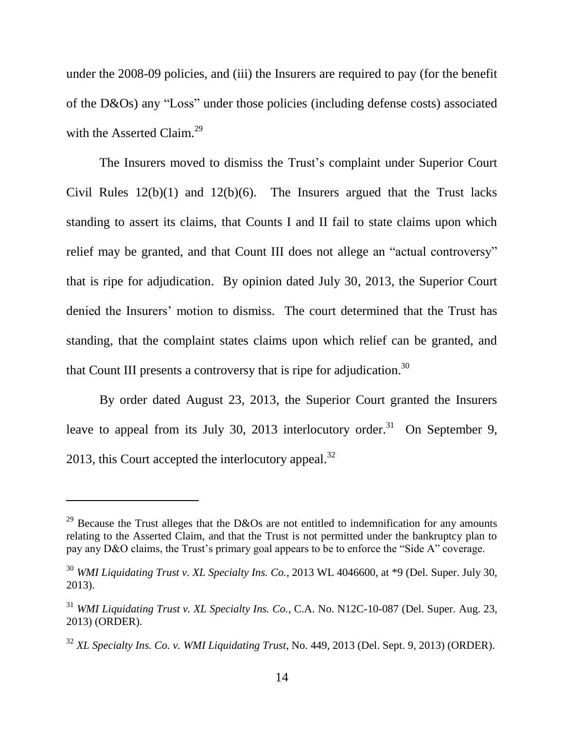under the 2008-09 policies, and (iii) the Insurers are required to pay (for the benefit of the D&Os) any "Loss" under those policies (including defense costs) associated with the Asserted Claim.<sup>29</sup>

The Insurers moved to dismiss the Trust's complaint under Superior Court Civil Rules  $12(b)(1)$  and  $12(b)(6)$ . The Insurers argued that the Trust lacks standing to assert its claims, that Counts I and II fail to state claims upon which relief may be granted, and that Count III does not allege an "actual controversy" that is ripe for adjudication. By opinion dated July 30, 2013, the Superior Court denied the Insurers' motion to dismiss. The court determined that the Trust has standing, that the complaint states claims upon which relief can be granted, and that Count III presents a controversy that is ripe for adjudication.<sup>30</sup>

By order dated August 23, 2013, the Superior Court granted the Insurers leave to appeal from its July 30, 2013 interlocutory order.<sup>31</sup> On September 9, 2013, this Court accepted the interlocutory appeal. $32$ 

<sup>&</sup>lt;sup>29</sup> Because the Trust alleges that the D&Os are not entitled to indemnification for any amounts relating to the Asserted Claim, and that the Trust is not permitted under the bankruptcy plan to pay any D&O claims, the Trust's primary goal appears to be to enforce the "Side A" coverage.

<sup>&</sup>lt;sup>30</sup> *WMI Liquidating Trust v. XL Specialty Ins. Co.*, 2013 WL 4046600, at \*9 (Del. Super. July 30, 2013).

<sup>31</sup> *WMI Liquidating Trust v. XL Specialty Ins. Co.*, C.A. No. N12C-10-087 (Del. Super. Aug. 23, 2013) (ORDER).

<sup>32</sup> *XL Specialty Ins. Co. v. WMI Liquidating Trust*, No. 449, 2013 (Del. Sept. 9, 2013) (ORDER).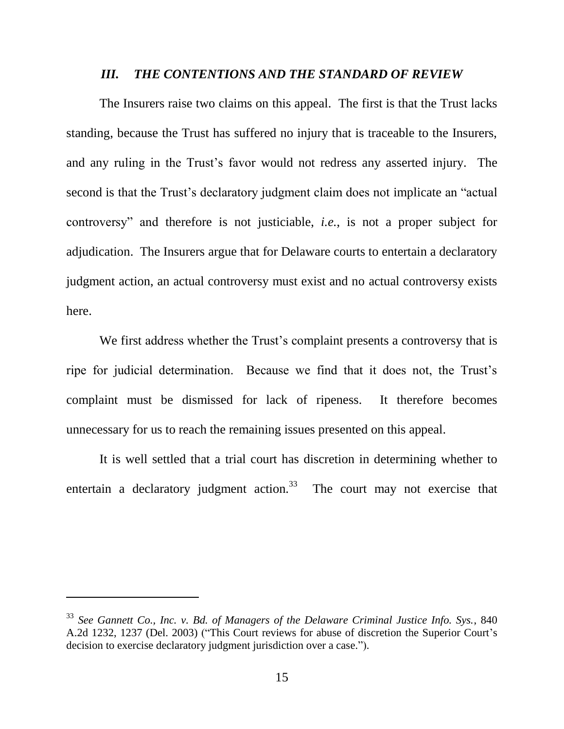#### *III. THE CONTENTIONS AND THE STANDARD OF REVIEW*

The Insurers raise two claims on this appeal. The first is that the Trust lacks standing, because the Trust has suffered no injury that is traceable to the Insurers, and any ruling in the Trust's favor would not redress any asserted injury. The second is that the Trust's declaratory judgment claim does not implicate an "actual controversy" and therefore is not justiciable, *i.e.*, is not a proper subject for adjudication. The Insurers argue that for Delaware courts to entertain a declaratory judgment action, an actual controversy must exist and no actual controversy exists here.

We first address whether the Trust's complaint presents a controversy that is ripe for judicial determination. Because we find that it does not, the Trust's complaint must be dismissed for lack of ripeness. It therefore becomes unnecessary for us to reach the remaining issues presented on this appeal.

It is well settled that a trial court has discretion in determining whether to entertain a declaratory judgment action.<sup>33</sup> The court may not exercise that

<sup>33</sup> *See Gannett Co., Inc. v. Bd. of Managers of the Delaware Criminal Justice Info. Sys.*, 840 A.2d 1232, 1237 (Del. 2003) ("This Court reviews for abuse of discretion the Superior Court's decision to exercise declaratory judgment jurisdiction over a case.").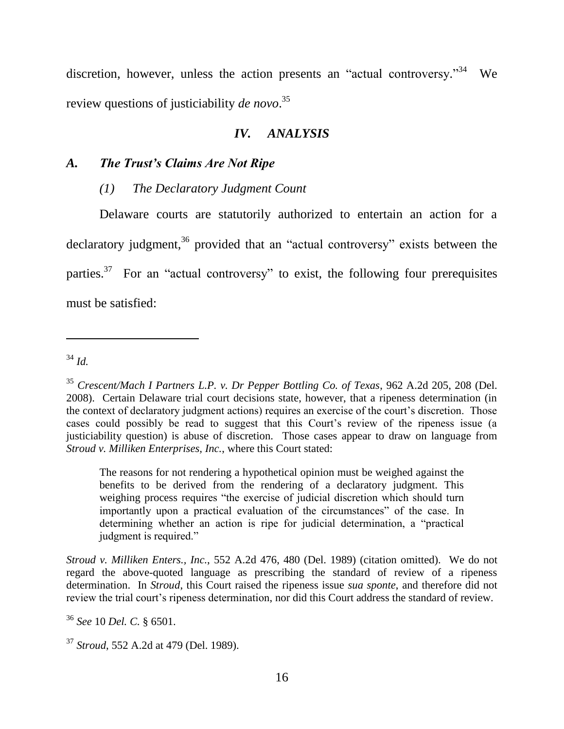discretion, however, unless the action presents an "actual controversy."<sup>34</sup> We review questions of justiciability *de novo*. 35

## *IV. ANALYSIS*

# *A. The Trust's Claims Are Not Ripe*

## *(1) The Declaratory Judgment Count*

Delaware courts are statutorily authorized to entertain an action for a declaratory judgment,<sup>36</sup> provided that an "actual controversy" exists between the parties. $37$  For an "actual controversy" to exist, the following four prerequisites must be satisfied:

<sup>34</sup> *Id.*

 $\overline{a}$ 

The reasons for not rendering a hypothetical opinion must be weighed against the benefits to be derived from the rendering of a declaratory judgment. This weighing process requires "the exercise of judicial discretion which should turn importantly upon a practical evaluation of the circumstances" of the case. In determining whether an action is ripe for judicial determination, a "practical judgment is required."

*Stroud v. Milliken Enters., Inc.*, 552 A.2d 476, 480 (Del. 1989) (citation omitted). We do not regard the above-quoted language as prescribing the standard of review of a ripeness determination. In *Stroud*, this Court raised the ripeness issue *sua sponte*, and therefore did not review the trial court's ripeness determination, nor did this Court address the standard of review.

<sup>36</sup> *See* 10 *Del. C.* § 6501.

<sup>37</sup> *Stroud*, 552 A.2d at 479 (Del. 1989).

<sup>35</sup> *Crescent/Mach I Partners L.P. v. Dr Pepper Bottling Co. of Texas*, 962 A.2d 205, 208 (Del. 2008). Certain Delaware trial court decisions state, however, that a ripeness determination (in the context of declaratory judgment actions) requires an exercise of the court's discretion. Those cases could possibly be read to suggest that this Court's review of the ripeness issue (a justiciability question) is abuse of discretion. Those cases appear to draw on language from *Stroud v. Milliken Enterprises, Inc.*, where this Court stated: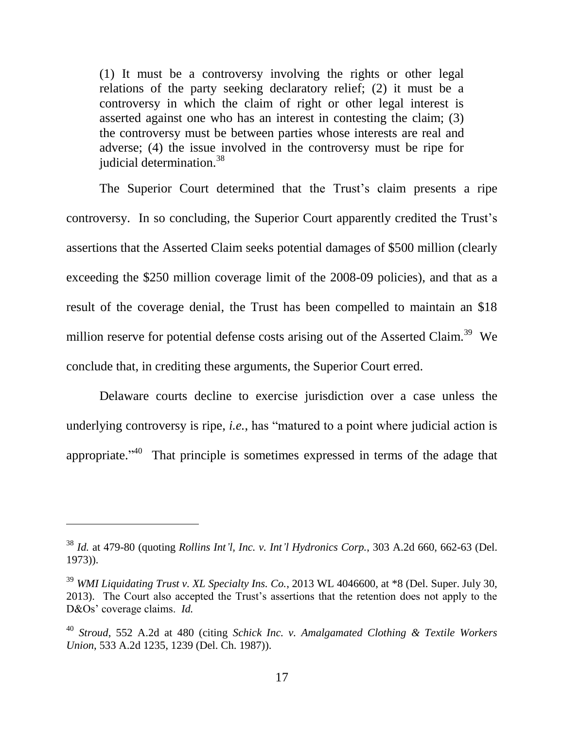(1) It must be a controversy involving the rights or other legal relations of the party seeking declaratory relief; (2) it must be a controversy in which the claim of right or other legal interest is asserted against one who has an interest in contesting the claim; (3) the controversy must be between parties whose interests are real and adverse; (4) the issue involved in the controversy must be ripe for iudicial determination. $38$ 

The Superior Court determined that the Trust's claim presents a ripe controversy. In so concluding, the Superior Court apparently credited the Trust's assertions that the Asserted Claim seeks potential damages of \$500 million (clearly exceeding the \$250 million coverage limit of the 2008-09 policies), and that as a result of the coverage denial, the Trust has been compelled to maintain an \$18 million reserve for potential defense costs arising out of the Asserted Claim.<sup>39</sup> We conclude that, in crediting these arguments, the Superior Court erred.

Delaware courts decline to exercise jurisdiction over a case unless the underlying controversy is ripe, *i.e.*, has "matured to a point where judicial action is appropriate.<sup> $140$ </sup> That principle is sometimes expressed in terms of the adage that

<sup>38</sup> *Id.* at 479-80 (quoting *Rollins Int'l, Inc. v. Int'l Hydronics Corp.*, 303 A.2d 660, 662-63 (Del. 1973)).

<sup>39</sup> *WMI Liquidating Trust v. XL Specialty Ins. Co.*, 2013 WL 4046600, at \*8 (Del. Super. July 30, 2013). The Court also accepted the Trust's assertions that the retention does not apply to the D&Os' coverage claims. *Id.*

<sup>40</sup> *Stroud*, 552 A.2d at 480 (citing *Schick Inc. v. Amalgamated Clothing & Textile Workers Union*, 533 A.2d 1235, 1239 (Del. Ch. 1987)).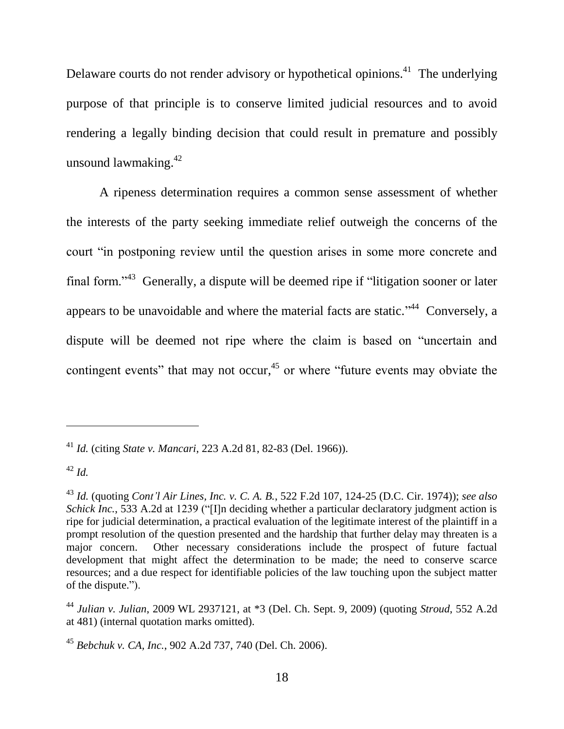Delaware courts do not render advisory or hypothetical opinions.<sup>41</sup> The underlying purpose of that principle is to conserve limited judicial resources and to avoid rendering a legally binding decision that could result in premature and possibly unsound lawmaking.<sup>42</sup>

A ripeness determination requires a common sense assessment of whether the interests of the party seeking immediate relief outweigh the concerns of the court "in postponing review until the question arises in some more concrete and final form."<sup>43</sup> Generally, a dispute will be deemed ripe if "litigation sooner or later appears to be unavoidable and where the material facts are static."<sup> $44$ </sup> Conversely, a dispute will be deemed not ripe where the claim is based on "uncertain and contingent events" that may not occur,<sup>45</sup> or where "future events may obviate the

<sup>41</sup> *Id.* (citing *State v. Mancari*, 223 A.2d 81, 82-83 (Del. 1966)).

<sup>42</sup> *Id.*

<sup>43</sup> *Id.* (quoting *Cont'l Air Lines, Inc. v. C. A. B.*, 522 F.2d 107, 124-25 (D.C. Cir. 1974)); *see also Schick Inc.*, 533 A.2d at 1239 ("[I]n deciding whether a particular declaratory judgment action is ripe for judicial determination, a practical evaluation of the legitimate interest of the plaintiff in a prompt resolution of the question presented and the hardship that further delay may threaten is a major concern. Other necessary considerations include the prospect of future factual development that might affect the determination to be made; the need to conserve scarce resources; and a due respect for identifiable policies of the law touching upon the subject matter of the dispute.").

<sup>44</sup> *Julian v. Julian*, 2009 WL 2937121, at \*3 (Del. Ch. Sept. 9, 2009) (quoting *Stroud*, 552 A.2d at 481) (internal quotation marks omitted).

<sup>45</sup> *Bebchuk v. CA, Inc.*, 902 A.2d 737, 740 (Del. Ch. 2006).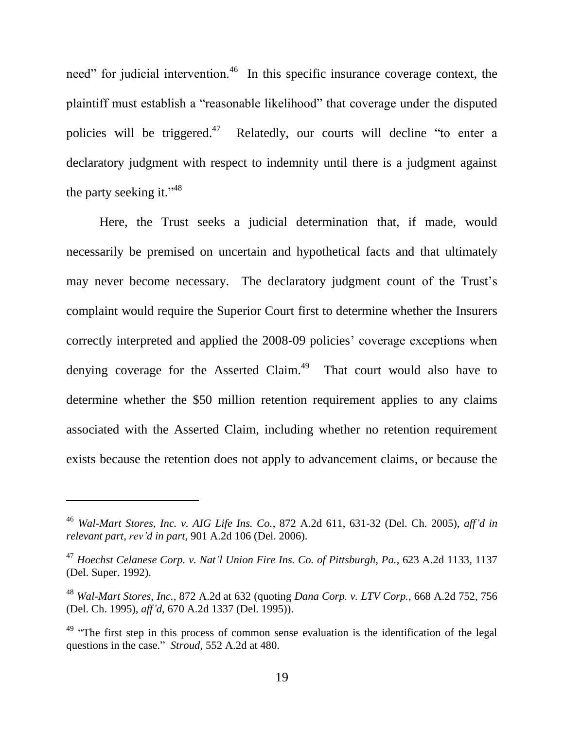need" for judicial intervention.<sup>46</sup> In this specific insurance coverage context, the plaintiff must establish a "reasonable likelihood" that coverage under the disputed policies will be triggered. Relatedly, our courts will decline "to enter a declaratory judgment with respect to indemnity until there is a judgment against the party seeking it." $48$ 

Here, the Trust seeks a judicial determination that, if made, would necessarily be premised on uncertain and hypothetical facts and that ultimately may never become necessary. The declaratory judgment count of the Trust's complaint would require the Superior Court first to determine whether the Insurers correctly interpreted and applied the 2008-09 policies' coverage exceptions when denying coverage for the Asserted Claim.<sup>49</sup> That court would also have to determine whether the \$50 million retention requirement applies to any claims associated with the Asserted Claim, including whether no retention requirement exists because the retention does not apply to advancement claims, or because the

<sup>46</sup> *Wal-Mart Stores, Inc. v. AIG Life Ins. Co.*, 872 A.2d 611, 631-32 (Del. Ch. 2005), *aff'd in relevant part, rev'd in part*, 901 A.2d 106 (Del. 2006).

<sup>47</sup> *Hoechst Celanese Corp. v. Nat'l Union Fire Ins. Co. of Pittsburgh, Pa.*, 623 A.2d 1133, 1137 (Del. Super. 1992).

<sup>48</sup> *Wal-Mart Stores, Inc.*, 872 A.2d at 632 (quoting *Dana Corp. v. LTV Corp.*, 668 A.2d 752, 756 (Del. Ch. 1995), *aff'd*, 670 A.2d 1337 (Del. 1995)).

<sup>&</sup>lt;sup>49</sup> "The first step in this process of common sense evaluation is the identification of the legal questions in the case." *Stroud*, 552 A.2d at 480.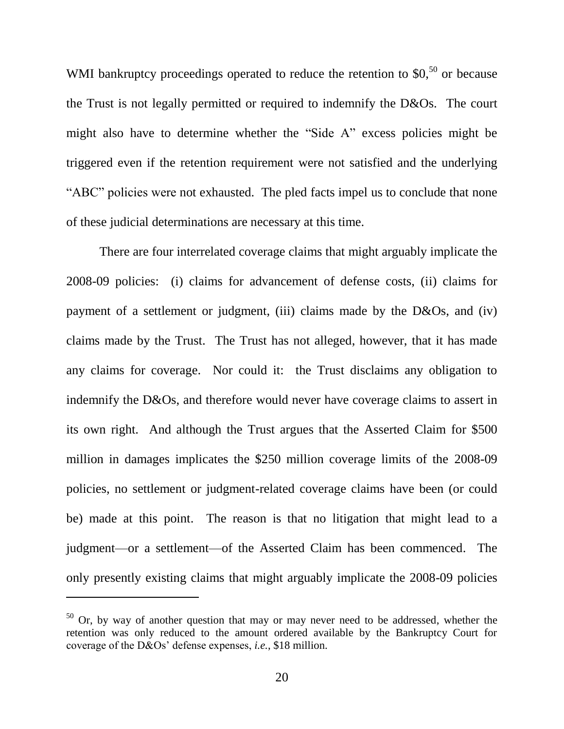WMI bankruptcy proceedings operated to reduce the retention to  $$0,^{50}$  or because the Trust is not legally permitted or required to indemnify the D&Os. The court might also have to determine whether the "Side A" excess policies might be triggered even if the retention requirement were not satisfied and the underlying "ABC" policies were not exhausted. The pled facts impel us to conclude that none of these judicial determinations are necessary at this time.

There are four interrelated coverage claims that might arguably implicate the 2008-09 policies: (i) claims for advancement of defense costs, (ii) claims for payment of a settlement or judgment, (iii) claims made by the D&Os, and (iv) claims made by the Trust. The Trust has not alleged, however, that it has made any claims for coverage. Nor could it: the Trust disclaims any obligation to indemnify the D&Os, and therefore would never have coverage claims to assert in its own right. And although the Trust argues that the Asserted Claim for \$500 million in damages implicates the \$250 million coverage limits of the 2008-09 policies, no settlement or judgment-related coverage claims have been (or could be) made at this point. The reason is that no litigation that might lead to a judgment—or a settlement—of the Asserted Claim has been commenced. The only presently existing claims that might arguably implicate the 2008-09 policies

 $50$  Or, by way of another question that may or may never need to be addressed, whether the retention was only reduced to the amount ordered available by the Bankruptcy Court for coverage of the D&Os' defense expenses, *i.e.*, \$18 million.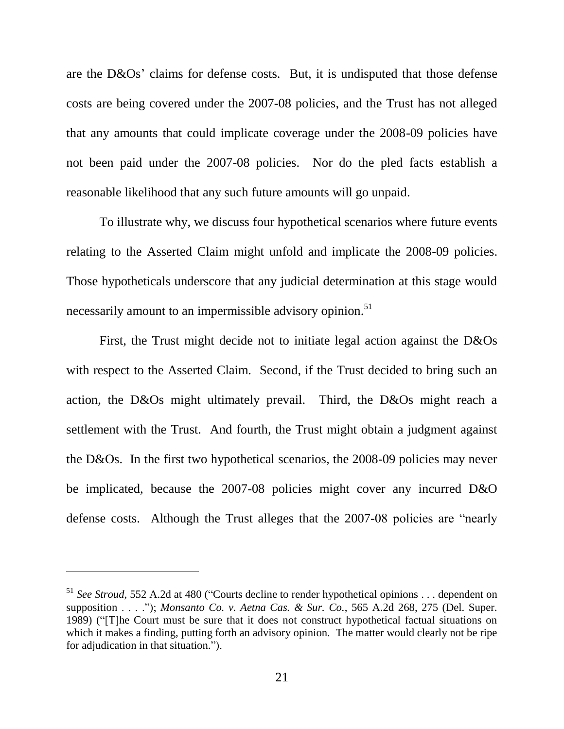are the D&Os' claims for defense costs. But, it is undisputed that those defense costs are being covered under the 2007-08 policies, and the Trust has not alleged that any amounts that could implicate coverage under the 2008-09 policies have not been paid under the 2007-08 policies. Nor do the pled facts establish a reasonable likelihood that any such future amounts will go unpaid.

To illustrate why, we discuss four hypothetical scenarios where future events relating to the Asserted Claim might unfold and implicate the 2008-09 policies. Those hypotheticals underscore that any judicial determination at this stage would necessarily amount to an impermissible advisory opinion.<sup>51</sup>

First, the Trust might decide not to initiate legal action against the D&Os with respect to the Asserted Claim. Second, if the Trust decided to bring such an action, the D&Os might ultimately prevail. Third, the D&Os might reach a settlement with the Trust. And fourth, the Trust might obtain a judgment against the D&Os. In the first two hypothetical scenarios, the 2008-09 policies may never be implicated, because the 2007-08 policies might cover any incurred D&O defense costs. Although the Trust alleges that the 2007-08 policies are "nearly

<sup>51</sup> *See Stroud*, 552 A.2d at 480 ("Courts decline to render hypothetical opinions . . . dependent on supposition . . . ."); *Monsanto Co. v. Aetna Cas. & Sur. Co.*, 565 A.2d 268, 275 (Del. Super. 1989) ("[T]he Court must be sure that it does not construct hypothetical factual situations on which it makes a finding, putting forth an advisory opinion. The matter would clearly not be ripe for adjudication in that situation.").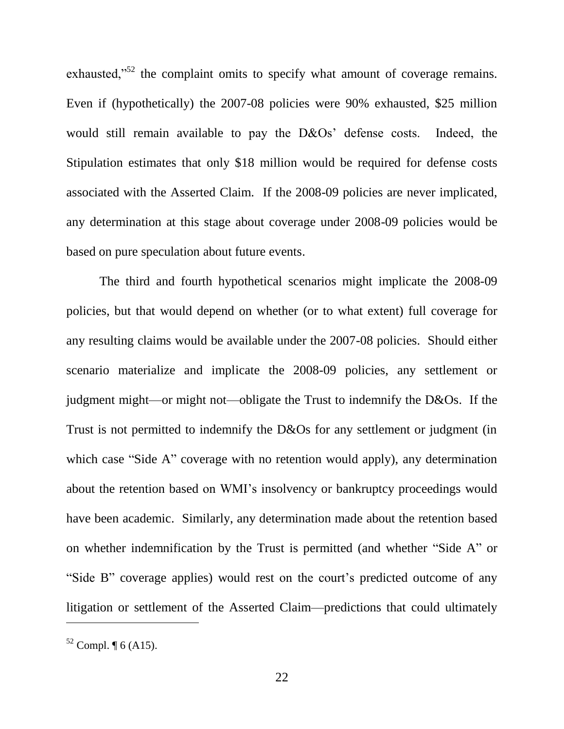exhausted,"<sup>52</sup> the complaint omits to specify what amount of coverage remains. Even if (hypothetically) the 2007-08 policies were 90% exhausted, \$25 million would still remain available to pay the D&Os' defense costs. Indeed, the Stipulation estimates that only \$18 million would be required for defense costs associated with the Asserted Claim. If the 2008-09 policies are never implicated, any determination at this stage about coverage under 2008-09 policies would be based on pure speculation about future events.

The third and fourth hypothetical scenarios might implicate the 2008-09 policies, but that would depend on whether (or to what extent) full coverage for any resulting claims would be available under the 2007-08 policies. Should either scenario materialize and implicate the 2008-09 policies, any settlement or judgment might—or might not—obligate the Trust to indemnify the D&Os. If the Trust is not permitted to indemnify the D&Os for any settlement or judgment (in which case "Side A" coverage with no retention would apply), any determination about the retention based on WMI's insolvency or bankruptcy proceedings would have been academic. Similarly, any determination made about the retention based on whether indemnification by the Trust is permitted (and whether "Side A" or "Side B" coverage applies) would rest on the court's predicted outcome of any litigation or settlement of the Asserted Claim—predictions that could ultimately

 $52$  Compl.  $\P$  6 (A15).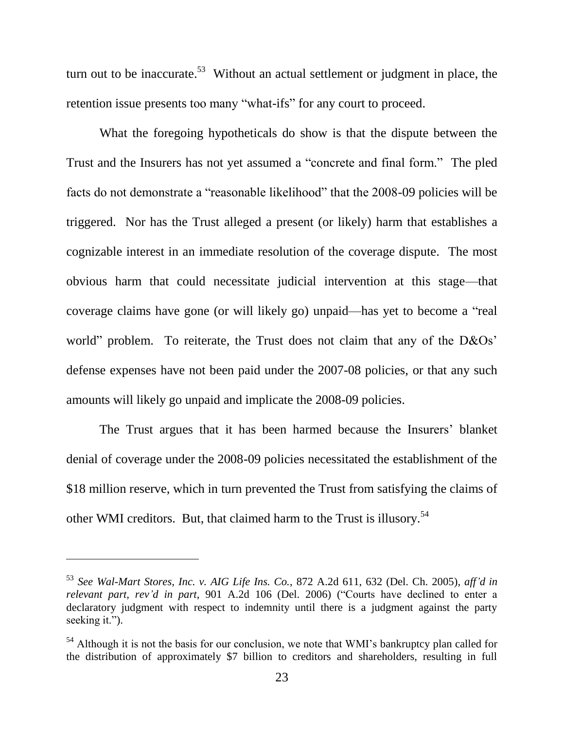turn out to be inaccurate.<sup>53</sup> Without an actual settlement or judgment in place, the retention issue presents too many "what-ifs" for any court to proceed.

What the foregoing hypotheticals do show is that the dispute between the Trust and the Insurers has not yet assumed a "concrete and final form." The pled facts do not demonstrate a "reasonable likelihood" that the 2008-09 policies will be triggered. Nor has the Trust alleged a present (or likely) harm that establishes a cognizable interest in an immediate resolution of the coverage dispute. The most obvious harm that could necessitate judicial intervention at this stage—that coverage claims have gone (or will likely go) unpaid—has yet to become a "real world" problem. To reiterate, the Trust does not claim that any of the D&Os' defense expenses have not been paid under the 2007-08 policies, or that any such amounts will likely go unpaid and implicate the 2008-09 policies.

The Trust argues that it has been harmed because the Insurers' blanket denial of coverage under the 2008-09 policies necessitated the establishment of the \$18 million reserve, which in turn prevented the Trust from satisfying the claims of other WMI creditors. But, that claimed harm to the Trust is illusory.<sup>54</sup>

<sup>53</sup> *See Wal-Mart Stores, Inc. v. AIG Life Ins. Co.*, 872 A.2d 611, 632 (Del. Ch. 2005), *aff'd in relevant part, rev'd in part*, 901 A.2d 106 (Del. 2006) ("Courts have declined to enter a declaratory judgment with respect to indemnity until there is a judgment against the party seeking it.").

<sup>&</sup>lt;sup>54</sup> Although it is not the basis for our conclusion, we note that WMI's bankruptcy plan called for the distribution of approximately \$7 billion to creditors and shareholders, resulting in full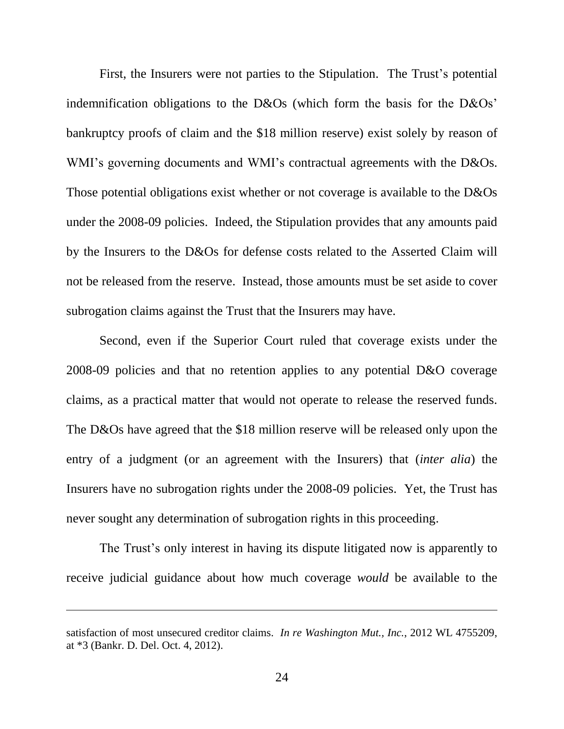First, the Insurers were not parties to the Stipulation. The Trust's potential indemnification obligations to the D&Os (which form the basis for the D&Os' bankruptcy proofs of claim and the \$18 million reserve) exist solely by reason of WMI's governing documents and WMI's contractual agreements with the D&Os. Those potential obligations exist whether or not coverage is available to the D&Os under the 2008-09 policies. Indeed, the Stipulation provides that any amounts paid by the Insurers to the D&Os for defense costs related to the Asserted Claim will not be released from the reserve. Instead, those amounts must be set aside to cover subrogation claims against the Trust that the Insurers may have.

Second, even if the Superior Court ruled that coverage exists under the 2008-09 policies and that no retention applies to any potential D&O coverage claims, as a practical matter that would not operate to release the reserved funds. The D&Os have agreed that the \$18 million reserve will be released only upon the entry of a judgment (or an agreement with the Insurers) that (*inter alia*) the Insurers have no subrogation rights under the 2008-09 policies. Yet, the Trust has never sought any determination of subrogation rights in this proceeding.

The Trust's only interest in having its dispute litigated now is apparently to receive judicial guidance about how much coverage *would* be available to the

satisfaction of most unsecured creditor claims. *In re Washington Mut., Inc.*, 2012 WL 4755209, at \*3 (Bankr. D. Del. Oct. 4, 2012).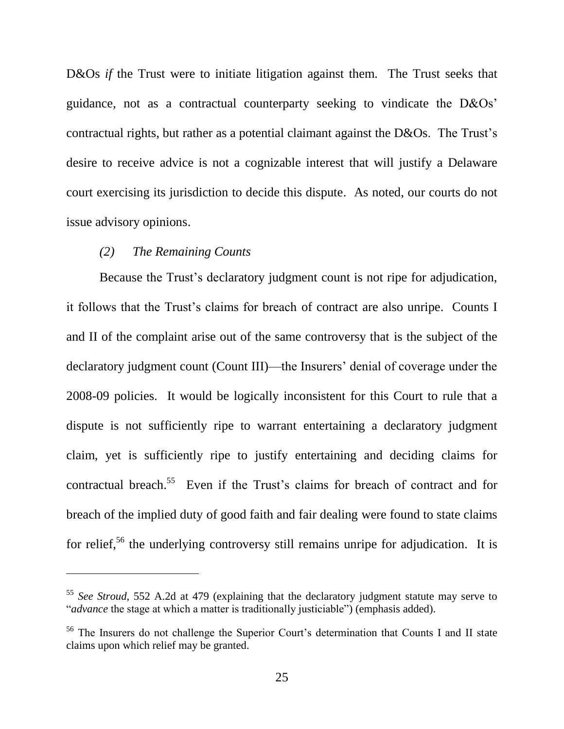D&Os *if* the Trust were to initiate litigation against them. The Trust seeks that guidance, not as a contractual counterparty seeking to vindicate the D&Os' contractual rights, but rather as a potential claimant against the D&Os. The Trust's desire to receive advice is not a cognizable interest that will justify a Delaware court exercising its jurisdiction to decide this dispute. As noted, our courts do not issue advisory opinions.

# *(2) The Remaining Counts*

 $\overline{a}$ 

Because the Trust's declaratory judgment count is not ripe for adjudication, it follows that the Trust's claims for breach of contract are also unripe. Counts I and II of the complaint arise out of the same controversy that is the subject of the declaratory judgment count (Count III)—the Insurers' denial of coverage under the 2008-09 policies. It would be logically inconsistent for this Court to rule that a dispute is not sufficiently ripe to warrant entertaining a declaratory judgment claim, yet is sufficiently ripe to justify entertaining and deciding claims for contractual breach.<sup>55</sup> Even if the Trust's claims for breach of contract and for breach of the implied duty of good faith and fair dealing were found to state claims for relief,<sup>56</sup> the underlying controversy still remains unripe for adjudication. It is

<sup>55</sup> *See Stroud*, 552 A.2d at 479 (explaining that the declaratory judgment statute may serve to "*advance* the stage at which a matter is traditionally justiciable") (emphasis added).

<sup>&</sup>lt;sup>56</sup> The Insurers do not challenge the Superior Court's determination that Counts I and II state claims upon which relief may be granted.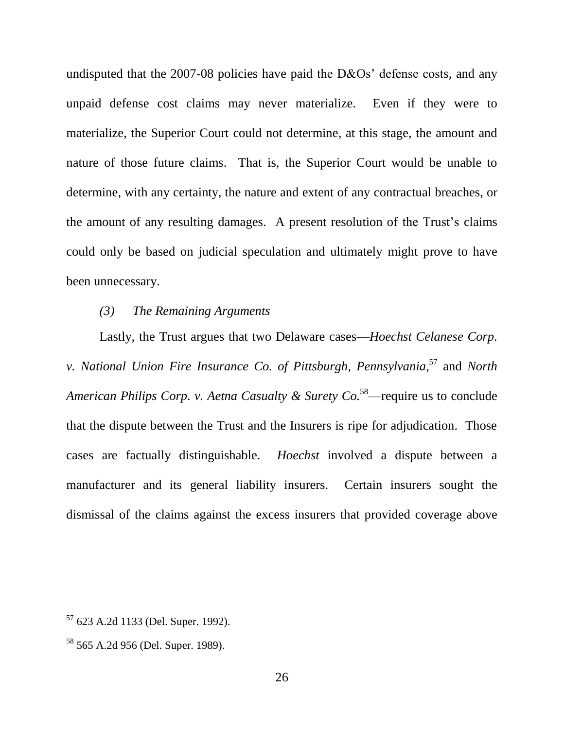undisputed that the 2007-08 policies have paid the D&Os' defense costs, and any unpaid defense cost claims may never materialize. Even if they were to materialize, the Superior Court could not determine, at this stage, the amount and nature of those future claims. That is, the Superior Court would be unable to determine, with any certainty, the nature and extent of any contractual breaches, or the amount of any resulting damages. A present resolution of the Trust's claims could only be based on judicial speculation and ultimately might prove to have been unnecessary.

### *(3) The Remaining Arguments*

Lastly, the Trust argues that two Delaware cases—*Hoechst Celanese Corp. v. National Union Fire Insurance Co. of Pittsburgh, Pennsylvania*, <sup>57</sup> and *North American Philips Corp. v. Aetna Casualty & Surety Co.*<sup>58</sup>—require us to conclude that the dispute between the Trust and the Insurers is ripe for adjudication. Those cases are factually distinguishable. *Hoechst* involved a dispute between a manufacturer and its general liability insurers. Certain insurers sought the dismissal of the claims against the excess insurers that provided coverage above

<sup>57</sup> 623 A.2d 1133 (Del. Super. 1992).

<sup>58</sup> 565 A.2d 956 (Del. Super. 1989).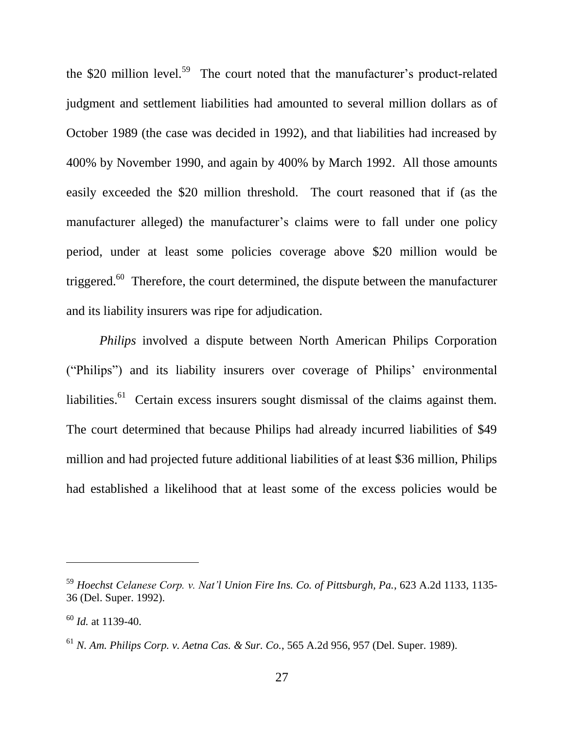the \$20 million level.<sup>59</sup> The court noted that the manufacturer's product-related judgment and settlement liabilities had amounted to several million dollars as of October 1989 (the case was decided in 1992), and that liabilities had increased by 400% by November 1990, and again by 400% by March 1992. All those amounts easily exceeded the \$20 million threshold. The court reasoned that if (as the manufacturer alleged) the manufacturer's claims were to fall under one policy period, under at least some policies coverage above \$20 million would be triggered. $^{60}$  Therefore, the court determined, the dispute between the manufacturer and its liability insurers was ripe for adjudication.

*Philips* involved a dispute between North American Philips Corporation ("Philips") and its liability insurers over coverage of Philips' environmental liabilities.<sup>61</sup> Certain excess insurers sought dismissal of the claims against them. The court determined that because Philips had already incurred liabilities of \$49 million and had projected future additional liabilities of at least \$36 million, Philips had established a likelihood that at least some of the excess policies would be

<sup>59</sup> *Hoechst Celanese Corp. v. Nat'l Union Fire Ins. Co. of Pittsburgh, Pa.*, 623 A.2d 1133, 1135- 36 (Del. Super. 1992).

<sup>60</sup> *Id.* at 1139-40.

<sup>61</sup> *N. Am. Philips Corp. v. Aetna Cas. & Sur. Co.*, 565 A.2d 956, 957 (Del. Super. 1989).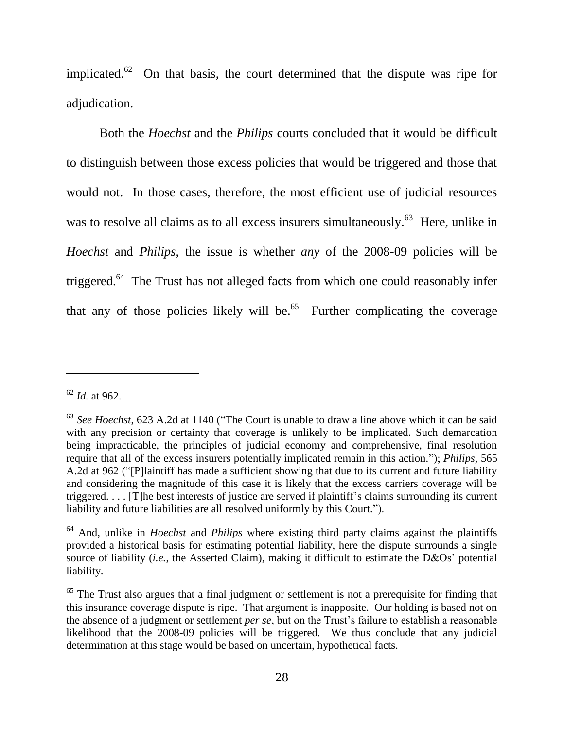implicated.<sup>62</sup> On that basis, the court determined that the dispute was ripe for adjudication.

Both the *Hoechst* and the *Philips* courts concluded that it would be difficult to distinguish between those excess policies that would be triggered and those that would not. In those cases, therefore, the most efficient use of judicial resources was to resolve all claims as to all excess insurers simultaneously.<sup>63</sup> Here, unlike in *Hoechst* and *Philips*, the issue is whether *any* of the 2008-09 policies will be triggered.<sup>64</sup> The Trust has not alleged facts from which one could reasonably infer that any of those policies likely will be. $65$  Further complicating the coverage

<sup>62</sup> *Id.* at 962.

<sup>63</sup> *See Hoechst*, 623 A.2d at 1140 ("The Court is unable to draw a line above which it can be said with any precision or certainty that coverage is unlikely to be implicated. Such demarcation being impracticable, the principles of judicial economy and comprehensive, final resolution require that all of the excess insurers potentially implicated remain in this action."); *Philips*, 565 A.2d at 962 ("[P]laintiff has made a sufficient showing that due to its current and future liability and considering the magnitude of this case it is likely that the excess carriers coverage will be triggered. . . . [T]he best interests of justice are served if plaintiff's claims surrounding its current liability and future liabilities are all resolved uniformly by this Court.").

<sup>64</sup> And, unlike in *Hoechst* and *Philips* where existing third party claims against the plaintiffs provided a historical basis for estimating potential liability, here the dispute surrounds a single source of liability (*i.e.*, the Asserted Claim), making it difficult to estimate the D&Os' potential liability.

<sup>&</sup>lt;sup>65</sup> The Trust also argues that a final judgment or settlement is not a prerequisite for finding that this insurance coverage dispute is ripe. That argument is inapposite. Our holding is based not on the absence of a judgment or settlement *per se*, but on the Trust's failure to establish a reasonable likelihood that the 2008-09 policies will be triggered. We thus conclude that any judicial determination at this stage would be based on uncertain, hypothetical facts.